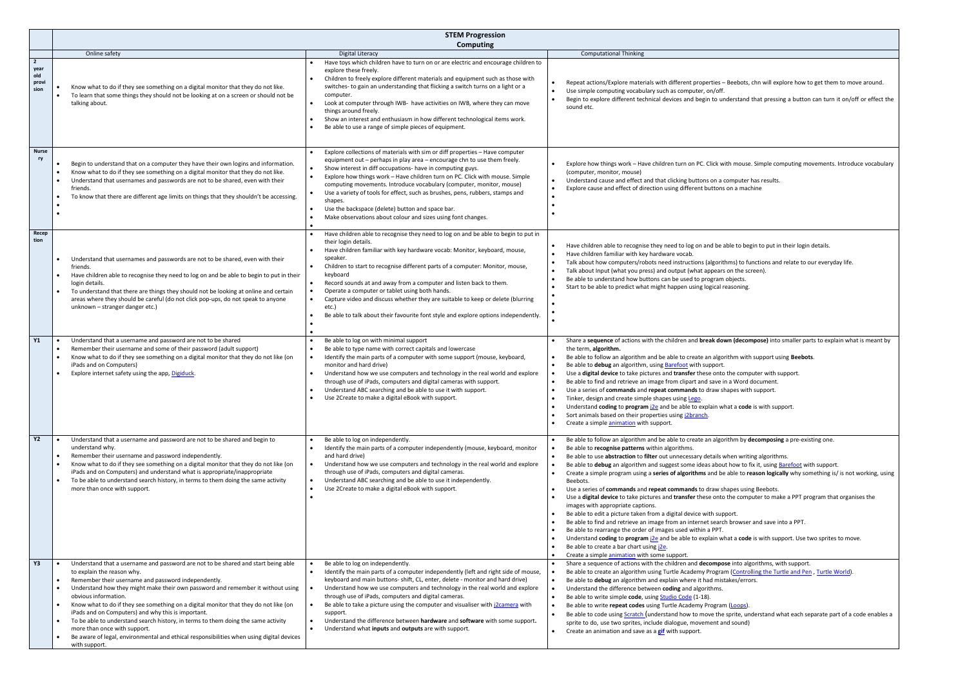**he computer with support.** a Word document. • Use a series of **commands** and **repeat commands** to draw shapes with support.

**t** a **code** is with support.

thm by **decomposing** a pre-existing one.

en writing algorithms. how to fix it, using <u>Barefoot</u> with support.  $a$ ble to **reason logically** why something is/ is not working, using

pes using Beebots. • Use a **digital device** to take pictures and **transfer** these onto the computer to make a PPT program that organises the

browser and save into a PPT.

t a **code** is with support. Use two sprites to move.

 $\bullet$  into algorithms, with support. (Controlling the Turtle and Pen[, Turtle World\)](https://turtleacademy.com/lessons/12). kes/errors.

(Loops).

prite, understand what each separate part of a code enables a l sound)

|                                                | <b>STEM Progression</b>                                                                                                                                                                                                                                                                                                                                                                                                                                                                                                                                                                                                                                                                     |                                                                                                                                                                                                                                                                                                                                                                                                                                                                                                                                                                                                                                                                 |                                                                                                                                                                                                                                                                                                                                                                                                                                                                                                                                                                                                                                                                                                                                                                                                                                                                                                                                             |
|------------------------------------------------|---------------------------------------------------------------------------------------------------------------------------------------------------------------------------------------------------------------------------------------------------------------------------------------------------------------------------------------------------------------------------------------------------------------------------------------------------------------------------------------------------------------------------------------------------------------------------------------------------------------------------------------------------------------------------------------------|-----------------------------------------------------------------------------------------------------------------------------------------------------------------------------------------------------------------------------------------------------------------------------------------------------------------------------------------------------------------------------------------------------------------------------------------------------------------------------------------------------------------------------------------------------------------------------------------------------------------------------------------------------------------|---------------------------------------------------------------------------------------------------------------------------------------------------------------------------------------------------------------------------------------------------------------------------------------------------------------------------------------------------------------------------------------------------------------------------------------------------------------------------------------------------------------------------------------------------------------------------------------------------------------------------------------------------------------------------------------------------------------------------------------------------------------------------------------------------------------------------------------------------------------------------------------------------------------------------------------------|
|                                                |                                                                                                                                                                                                                                                                                                                                                                                                                                                                                                                                                                                                                                                                                             | <b>Computing</b>                                                                                                                                                                                                                                                                                                                                                                                                                                                                                                                                                                                                                                                |                                                                                                                                                                                                                                                                                                                                                                                                                                                                                                                                                                                                                                                                                                                                                                                                                                                                                                                                             |
|                                                | Online safety                                                                                                                                                                                                                                                                                                                                                                                                                                                                                                                                                                                                                                                                               | <b>Digital Literacy</b>                                                                                                                                                                                                                                                                                                                                                                                                                                                                                                                                                                                                                                         | <b>Computational Thinking</b>                                                                                                                                                                                                                                                                                                                                                                                                                                                                                                                                                                                                                                                                                                                                                                                                                                                                                                               |
| $\overline{2}$<br>year<br>old<br>provi<br>sion | Know what to do if they see something on a digital monitor that they do not like.<br>To learn that some things they should not be looking at on a screen or should not be<br>$\bullet$<br>talking about.                                                                                                                                                                                                                                                                                                                                                                                                                                                                                    | Have toys which children have to turn on or are electric and encourage children to<br>explore these freely.<br>Children to freely explore different materials and equipment such as those with<br>switches- to gain an understanding that flicking a switch turns on a light or a<br>computer.<br>Look at computer through IWB- have activities on IWB, where they can move<br>things around freely.<br>Show an interest and enthusiasm in how different technological items work.<br>$\bullet$<br>Be able to use a range of simple pieces of equipment.                                                                                                        | Repeat actions/Explore materials with different properties - Beebot<br>Use simple computing vocabulary such as computer, on/off.<br>Begin to explore different technical devices and begin to understan<br>$\bullet$<br>sound etc.                                                                                                                                                                                                                                                                                                                                                                                                                                                                                                                                                                                                                                                                                                          |
| <b>Nurse</b><br>ry                             | Begin to understand that on a computer they have their own logins and information.<br>Know what to do if they see something on a digital monitor that they do not like.<br>Understand that usernames and passwords are not to be shared, even with their<br>$\bullet$<br>friends.<br>To know that there are different age limits on things that they shouldn't be accessing.                                                                                                                                                                                                                                                                                                                | Explore collections of materials with sim or diff properties - Have computer<br>equipment out - perhaps in play area - encourage chn to use them freely.<br>Show interest in diff occupations- have in computing guys.<br>$\bullet$<br>Explore how things work - Have children turn on PC. Click with mouse. Simple<br>computing movements. Introduce vocabulary (computer, monitor, mouse)<br>Use a variety of tools for effect, such as brushes, pens, rubbers, stamps and<br>shapes.<br>Use the backspace (delete) button and space bar.<br>Make observations about colour and sizes using font changes.<br>$\bullet$                                        | Explore how things work - Have children turn on PC. Click with mou<br>(computer, monitor, mouse)<br>Understand cause and effect and that clicking buttons on a compute<br>$\bullet$<br>Explore cause and effect of direction using different buttons on a ma<br>$\bullet$                                                                                                                                                                                                                                                                                                                                                                                                                                                                                                                                                                                                                                                                   |
| Recep<br>tion                                  | Understand that usernames and passwords are not to be shared, even with their<br>friends.<br>Have children able to recognise they need to log on and be able to begin to put in their<br>login details.<br>To understand that there are things they should not be looking at online and certain<br>areas where they should be careful (do not click pop-ups, do not speak to anyone<br>unknown - stranger danger etc.)                                                                                                                                                                                                                                                                      | Have children able to recognise they need to log on and be able to begin to put in<br>$\bullet$<br>their login details.<br>Have children familiar with key hardware vocab: Monitor, keyboard, mouse,<br>speaker.<br>Children to start to recognise different parts of a computer: Monitor, mouse,<br>keyboard<br>Record sounds at and away from a computer and listen back to them.<br>$\bullet$<br>Operate a computer or tablet using both hands.<br>Capture video and discuss whether they are suitable to keep or delete (blurring<br>$\bullet$<br>etc.)<br>Be able to talk about their favourite font style and explore options independently.<br>$\bullet$ | Have children able to recognise they need to log on and be able to b<br>$\bullet$<br>Have children familiar with key hardware vocab.<br>Talk about how computers/robots need instructions (algorithms) to<br>Talk about Input (what you press) and output (what appears on the<br>$\bullet$<br>Be able to understand how buttons can be used to program objects.<br>Start to be able to predict what might happen using logical reasonin<br>$\bullet$                                                                                                                                                                                                                                                                                                                                                                                                                                                                                       |
| <b>Y1</b>                                      | Understand that a username and password are not to be shared<br>$\bullet$<br>Remember their username and some of their password (adult support)<br>Know what to do if they see something on a digital monitor that they do not like (on<br>iPads and on Computers)<br>Explore internet safety using the app, Digiduck.                                                                                                                                                                                                                                                                                                                                                                      | Be able to log on with minimal support<br>$\bullet$<br>Be able to type name with correct capitals and lowercase<br>$\bullet$<br>Identify the main parts of a computer with some support (mouse, keyboard,<br>monitor and hard drive)<br>Understand how we use computers and technology in the real world and explore<br>through use of iPads, computers and digital cameras with support.<br>Understand ABC searching and be able to use it with support.<br>Use 2Create to make a digital eBook with support.                                                                                                                                                  | Share a sequence of actions with the children and break down (dec<br>the term, algorithm.<br>Be able to follow an algorithm and be able to create an algorithm wi<br>Be able to debug an algorithm, using Barefoot with support.<br>$\bullet$<br>Use a digital device to take pictures and transfer these onto the cor<br>Be able to find and retrieve an image from clipart and save in a Wor<br>Use a series of commands and repeat commands to draw shapes w<br>Tinker, design and create simple shapes using Lego.<br>Understand coding to program $i$ $2e$ and be able to explain what a co<br>Sort animals based on their properties using j2branch.<br>Create a simple animation with support.<br>$\bullet$                                                                                                                                                                                                                          |
| <b>Y2</b>                                      | Understand that a username and password are not to be shared and begin to<br>understand why.<br>Remember their username and password independently.<br>Know what to do if they see something on a digital monitor that they do not like (on<br>iPads and on Computers) and understand what is appropriate/inappropriate<br>To be able to understand search history, in terms to them doing the same activity<br>$\bullet$<br>more than once with support.                                                                                                                                                                                                                                   | Be able to log on independently.<br>Identify the main parts of a computer independently (mouse, keyboard, monitor<br>and hard drive)<br>Understand how we use computers and technology in the real world and explore<br>$\bullet$<br>through use of iPads, computers and digital cameras.<br>Understand ABC searching and be able to use it independently.<br>$\bullet$<br>Use 2Create to make a digital eBook with support.<br>$\bullet$                                                                                                                                                                                                                       | Be able to follow an algorithm and be able to create an algorithm by<br>Be able to recognise patterns within algorithms.<br>Be able to use abstraction to filter out unnecessary details when wr<br>Be able to debug an algorithm and suggest some ideas about how to<br>Create a simple program using a series of algorithms and be able to<br>$\bullet$<br>Beebots.<br>Use a series of commands and repeat commands to draw shapes us<br>Use a digital device to take pictures and transfer these onto the cor<br>images with appropriate captions.<br>Be able to edit a picture taken from a digital device with support.<br>Be able to find and retrieve an image from an internet search brows<br>Be able to rearrange the order of images used within a PPT.<br>Understand coding to program ile and be able to explain what a co<br>Be able to create a bar chart using <i>j</i> 2e.<br>Create a simple animation with some support. |
| Y3                                             | Understand that a username and password are not to be shared and start being able<br>$\bullet$<br>to explain the reason why.<br>Remember their username and password independently.<br>Understand how they might make their own password and remember it without using<br>obvious information.<br>Know what to do if they see something on a digital monitor that they do not like (on<br>$\bullet$<br>iPads and on Computers) and why this is important.<br>To be able to understand search history, in terms to them doing the same activity<br>more than once with support.<br>Be aware of legal, environmental and ethical responsibilities when using digital devices<br>with support. | Be able to log on independently.<br>Identify the main parts of a computer independently (left and right side of mouse,<br>keyboard and main buttons- shift, CL, enter, delete - monitor and hard drive)<br>Understand how we use computers and technology in the real world and explore<br>through use of iPads, computers and digital cameras.<br>Be able to take a picture using the computer and visualiser with j2camera with<br>$\bullet$<br>support.<br>Understand the difference between hardware and software with some support.<br>$\bullet$<br>Understand what inputs and outputs are with support.                                                   | Share a sequence of actions with the children and decompose into a<br>Be able to create an algorithm using Turtle Academy Program (Cont<br>Be able to debug an algorithm and explain where it had mistakes/er<br>$\bullet$<br>Understand the difference between coding and algorithms.<br>$\bullet$<br>Be able to write simple code, using Studio Code (1-18).<br>$\bullet$<br>Be able to write repeat codes using Turtle Academy Program (Loops<br>$\bullet$<br>Be able to code using <b>Scratch</b> (understand how to move the sprite, u<br>sprite to do, use two sprites, include dialogue, movement and sound<br>Create an animation and save as a gif with support.<br>$\bullet$                                                                                                                                                                                                                                                      |

eebots, chn will explore how to get them to move around.

erstand that pressing a button can turn it on/off or effect the

n mouse. Simple computing movements. Introduce vocabulary

mputer has results. on a machine

• He to begin to put in their login details.

ms) to functions and relate to our everyday life. on the screen). soning.

**n (decompose)** into smaller parts to explain what is meant by

hm with support using **Beebots**.